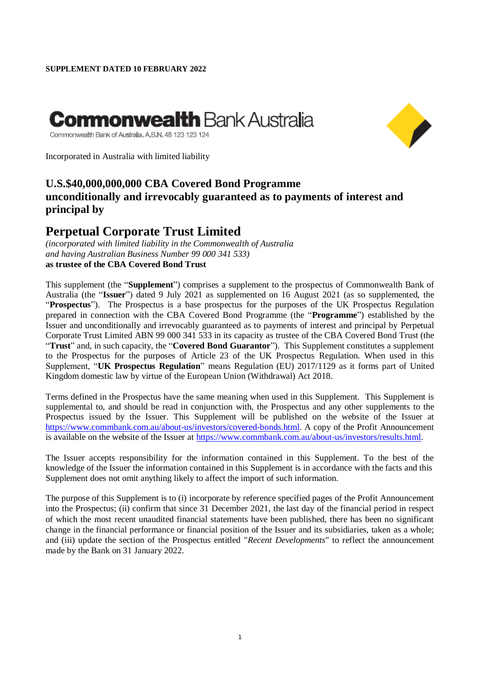# **Commonwealth** Bank Austra**l**ia

Commonwealth Bank of Australia, A,B,N, 48 123 123 124

Incorporated in Australia with limited liability

### **U.S.\$40,000,000,000 CBA Covered Bond Programme unconditionally and irrevocably guaranteed as to payments of interest and principal by**

## **Perpetual Corporate Trust Limited**

*(incorporated with limited liability in the Commonwealth of Australia and having Australian Business Number 99 000 341 533)* **as trustee of the CBA Covered Bond Trust**

This supplement (the "**Supplement**") comprises a supplement to the prospectus of Commonwealth Bank of Australia (the "**Issuer**") dated 9 July 2021 as supplemented on 16 August 2021 (as so supplemented, the "**Prospectus**"). The Prospectus is a base prospectus for the purposes of the UK Prospectus Regulation prepared in connection with the CBA Covered Bond Programme (the "**Programme**") established by the Issuer and unconditionally and irrevocably guaranteed as to payments of interest and principal by Perpetual Corporate Trust Limited ABN 99 000 341 533 in its capacity as trustee of the CBA Covered Bond Trust (the "**Trust**" and, in such capacity, the "**Covered Bond Guarantor**"). This Supplement constitutes a supplement to the Prospectus for the purposes of Article 23 of the UK Prospectus Regulation. When used in this Supplement, "**UK Prospectus Regulation**" means Regulation (EU) 2017/1129 as it forms part of United Kingdom domestic law by virtue of the European Union (Withdrawal) Act 2018.

Terms defined in the Prospectus have the same meaning when used in this Supplement. This Supplement is supplemental to, and should be read in conjunction with, the Prospectus and any other supplements to the Prospectus issued by the Issuer. This Supplement will be published on the website of the Issuer at [https://www.commbank.com.au/about-us/investors/covered-bonds.html.](https://www.commbank.com.au/about-us/investors/covered-bonds.html) A copy of the Profit Announcement is available on the website of the Issuer at [https://www.commbank.com.au/about-us/investors/results.html.](https://www.commbank.com.au/about-us/investors/results.html)

The Issuer accepts responsibility for the information contained in this Supplement. To the best of the knowledge of the Issuer the information contained in this Supplement is in accordance with the facts and this Supplement does not omit anything likely to affect the import of such information.

The purpose of this Supplement is to (i) incorporate by reference specified pages of the Profit Announcement into the Prospectus; (ii) confirm that since 31 December 2021, the last day of the financial period in respect of which the most recent unaudited financial statements have been published, there has been no significant change in the financial performance or financial position of the Issuer and its subsidiaries, taken as a whole; and (iii) update the section of the Prospectus entitled "*Recent Developments*" to reflect the announcement made by the Bank on 31 January 2022.

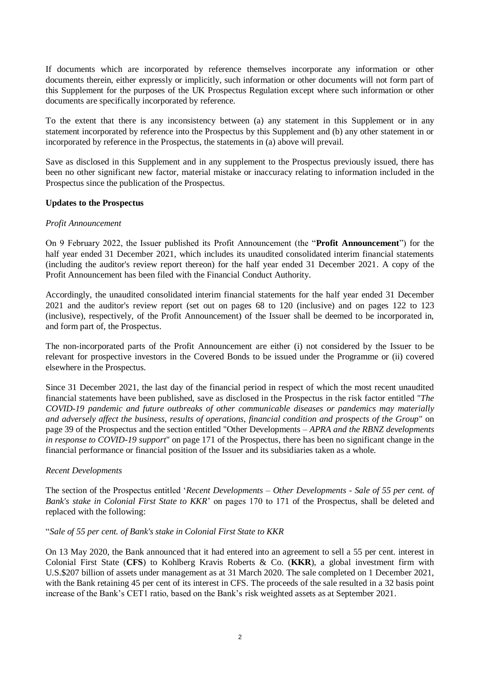If documents which are incorporated by reference themselves incorporate any information or other documents therein, either expressly or implicitly, such information or other documents will not form part of this Supplement for the purposes of the UK Prospectus Regulation except where such information or other documents are specifically incorporated by reference.

To the extent that there is any inconsistency between (a) any statement in this Supplement or in any statement incorporated by reference into the Prospectus by this Supplement and (b) any other statement in or incorporated by reference in the Prospectus, the statements in (a) above will prevail.

Save as disclosed in this Supplement and in any supplement to the Prospectus previously issued, there has been no other significant new factor, material mistake or inaccuracy relating to information included in the Prospectus since the publication of the Prospectus.

#### **Updates to the Prospectus**

#### *Profit Announcement*

On 9 February 2022, the Issuer published its Profit Announcement (the "**Profit Announcement**") for the half year ended 31 December 2021, which includes its unaudited consolidated interim financial statements (including the auditor's review report thereon) for the half year ended 31 December 2021. A copy of the Profit Announcement has been filed with the Financial Conduct Authority.

Accordingly, the unaudited consolidated interim financial statements for the half year ended 31 December 2021 and the auditor's review report (set out on pages 68 to 120 (inclusive) and on pages 122 to 123 (inclusive), respectively, of the Profit Announcement) of the Issuer shall be deemed to be incorporated in, and form part of, the Prospectus.

The non-incorporated parts of the Profit Announcement are either (i) not considered by the Issuer to be relevant for prospective investors in the Covered Bonds to be issued under the Programme or (ii) covered elsewhere in the Prospectus.

Since 31 December 2021, the last day of the financial period in respect of which the most recent unaudited financial statements have been published, save as disclosed in the Prospectus in the risk factor entitled "*The COVID-19 pandemic and future outbreaks of other communicable diseases or pandemics may materially and adversely affect the business, results of operations, financial condition and prospects of the Group*" on page 39 of the Prospectus and the section entitled "Other Developments *– APRA and the RBNZ developments in response to COVID-19 support*" on page 171 of the Prospectus, there has been no significant change in the financial performance or financial position of the Issuer and its subsidiaries taken as a whole.

#### *Recent Developments*

The section of the Prospectus entitled '*Recent Developments – Other Developments - Sale of 55 per cent. of Bank's stake in Colonial First State to KKR*' on pages 170 to 171 of the Prospectus, shall be deleted and replaced with the following:

#### "*Sale of 55 per cent. of Bank's stake in Colonial First State to KKR*

On 13 May 2020, the Bank announced that it had entered into an agreement to sell a 55 per cent. interest in Colonial First State (**CFS**) to Kohlberg Kravis Roberts & Co. (**KKR**), a global investment firm with U.S.\$207 billion of assets under management as at 31 March 2020. The sale completed on 1 December 2021, with the Bank retaining 45 per cent of its interest in CFS. The proceeds of the sale resulted in a 32 basis point increase of the Bank's CET1 ratio, based on the Bank's risk weighted assets as at September 2021.